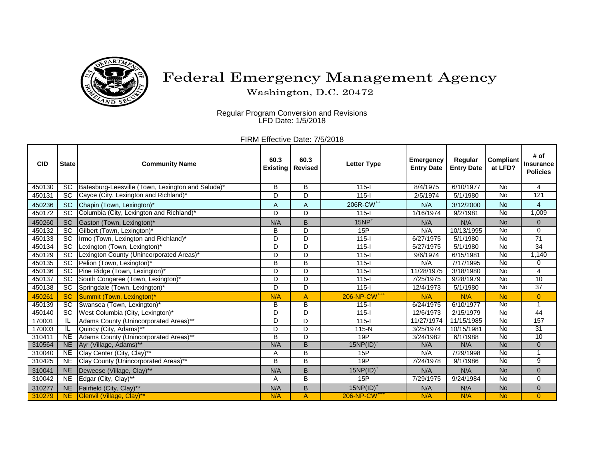

## Federal Emergency Management Agency

Washington, D.C. 20472

Regular Program Conversion and Revisions LFD Date: 1/5/2018

FIRM Effective Date: 7/5/2018

| <b>CID</b> | <b>State</b>    | <b>Community Name</b>                             | 60.3<br><b>Existing</b> | 60.3<br><b>Revised</b> | <b>Letter Type</b>       | <b>Emergency</b><br><b>Entry Date</b> | Regular<br><b>Entry Date</b> | <b>Compliant</b><br>at LFD? | # of<br><b>Insurance</b><br><b>Policies</b> |
|------------|-----------------|---------------------------------------------------|-------------------------|------------------------|--------------------------|---------------------------------------|------------------------------|-----------------------------|---------------------------------------------|
| 450130     | <b>SC</b>       | Batesburg-Leesville (Town, Lexington and Saluda)* | B                       | B                      | $115 -$                  | 8/4/1975                              | 6/10/1977                    | <b>No</b>                   | 4                                           |
| 450131     | SC              | Cayce (City, Lexington and Richland)*             | D                       | D                      | $115 -$                  | 2/5/1974                              | 5/1/1980                     | <b>No</b>                   | 121                                         |
| 450236     | <b>SC</b>       | Chapin (Town, Lexington)*                         | A                       | A                      | 206R-CW <sup>++</sup>    | N/A                                   | 3/12/2000                    | <b>No</b>                   | $\overline{4}$                              |
| 450172     | <b>SC</b>       | Columbia (City, Lexington and Richland)*          | D                       | D                      | $115 -$                  | 1/16/1974                             | 9/2/1981                     | No                          | 1,009                                       |
| 450260     | <b>SC</b>       | Gaston (Town, Lexington)*                         | N/A                     | B                      | $15NP+$                  | N/A                                   | N/A                          | <b>No</b>                   | $\mathbf 0$                                 |
| 450132     | <b>SC</b>       | Gilbert (Town, Lexington)*                        | В                       | D                      | 15P                      | N/A                                   | 10/13/1995                   | No                          | 0                                           |
| 450133     | $\overline{SC}$ | Irmo (Town, Lexington and Richland)*              | D                       | D                      | $115 -$                  | 6/27/1975                             | $\sqrt{5/1/1980}$            | $\overline{N}$              | $\overline{71}$                             |
| 450134     | SC              | Lexington (Town, Lexington)*                      | D                       | D                      | $115 -$                  | 5/27/1975                             | 5/1/1980                     | <b>No</b>                   | $\overline{34}$                             |
| 450129     | $\overline{SC}$ | Lexington County (Unincorporated Areas)*          | D                       | D                      | $115 -$                  | 9/6/1974                              | 6/15/1981                    | <b>No</b>                   | 1,140                                       |
| 450135     | $\overline{SC}$ | Pelion (Town, Lexington)*                         | B                       | B                      | $115 -$                  | N/A                                   | 7/17/1995                    | $\overline{N}$              | 0                                           |
| 450136     | $\overline{SC}$ | Pine Ridge (Town, Lexington)*                     | D                       | D                      | $115 -$                  | 11/28/1975                            | 3/18/1980                    | <b>No</b>                   | $\overline{\mathbf{4}}$                     |
| 450137     | SC              | South Congaree (Town, Lexington)*                 | D                       | D                      | $115 -$                  | 7/25/1975                             | 9/28/1979                    | <b>No</b>                   | $\overline{10}$                             |
| 450138     | $\overline{SC}$ | Springdale (Town, Lexington)*                     | D                       | $\overline{D}$         | $115 -$                  | 12/4/1973                             | 5/1/1980                     | $\overline{N}$              | $\overline{37}$                             |
| 450261     | <b>SC</b>       | Summit (Town, Lexington)*                         | N/A                     | A                      | 206-NP-CW <sup>+++</sup> | N/A                                   | N/A                          | <b>No</b>                   | $\overline{0}$                              |
| 450139     | $\overline{SC}$ | Swansea (Town, Lexington)*                        | B                       | $\overline{B}$         | $115 -$                  | 6/24/1975                             | 6/10/1977                    | <b>No</b>                   | $\overline{1}$                              |
| 450140     | <b>SC</b>       | West Columbia (City, Lexington)*                  | D                       | D                      | $115 -$                  | 12/6/1973                             | 2/15/1979                    | No                          | 44                                          |
| 170001     |                 | Adams County (Unincorporated Areas)**             | D                       | D                      | $115-I$                  | 11/27/1974                            | 11/15/1985                   | <b>No</b>                   | 157                                         |
| 170003     | ΙL              | Quincy (City, Adams)**                            | D                       | D                      | 115-N                    | 3/25/1974                             | 10/15/1981                   | <b>No</b>                   | $\overline{31}$                             |
| 310411     | N <sub>E</sub>  | Adams County (Unincorporated Areas)**             | B                       | D                      | 19P                      | 3/24/1982                             | 6/1/1988                     | <b>No</b>                   | 10                                          |
| 310564     | <b>NE</b>       | Ayr (Village, Adams)**                            | N/A                     | $\overline{B}$         | $15NP(ID)^+$             | N/A                                   | N/A                          | <b>No</b>                   | $\overline{0}$                              |
| 310040     | N <sub>E</sub>  | Clay Center (City, Clay)**                        | A                       | B                      | 15P                      | N/A                                   | 7/29/1998                    | $\overline{N}$              | 1                                           |
| 310425     | <b>NE</b>       | Clay County (Unincorporated Areas)**              | B                       | $\overline{B}$         | 19P                      | 7/24/1978                             | 9/1/1986                     | <b>No</b>                   | 9                                           |
| 310041     | <b>NE</b>       | Deweese (Village, Clay)**                         | N/A                     | B                      | $15NP(ID)^+$             | N/A                                   | N/A                          | <b>No</b>                   | $\pmb{0}$                                   |
| 310042     | <b>NE</b>       | Edgar (City, Clay)**                              | Α                       | B                      | 15P                      | 7/29/1975                             | 9/24/1984                    | <b>No</b>                   | 0                                           |
| 310277     | <b>NE</b>       | Fairfield (City, Clay)**                          | N/A                     | B                      | $15NP(ID)^+$             | N/A                                   | N/A                          | <b>No</b>                   | $\pmb{0}$                                   |
| 310279     | <b>NE</b>       | Glenvil (Village, Clay)**                         | N/A                     | A                      | 206-NP-CW <sup>+++</sup> | N/A                                   | N/A                          | <b>No</b>                   | $\overline{0}$                              |